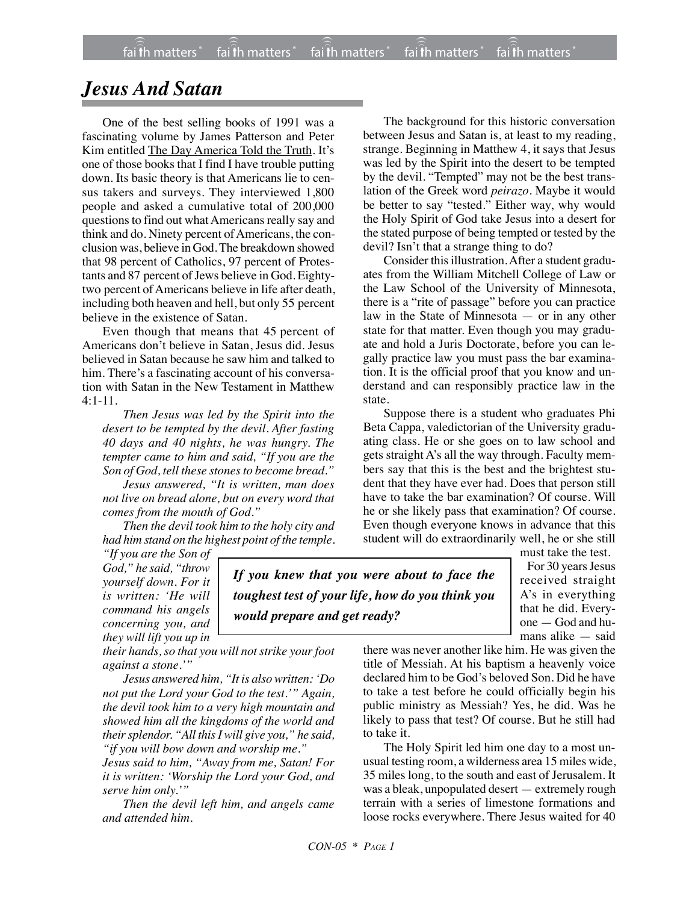## *Jesus And Satan*

One of the best selling books of 1991 was a fascinating volume by James Patterson and Peter Kim entitled The Day America Told the Truth. It's one of those books that I find I have trouble putting down. Its basic theory is that Americans lie to census takers and surveys. They interviewed 1,800 people and asked a cumulative total of 200,000 questions to find out what Americans really say and think and do. Ninety percent of Americans, the conclusion was, believe in God. The breakdown showed that 98 percent of Catholics, 97 percent of Protestants and 87 percent of Jews believe in God. Eightytwo percent of Americans believe in life after death, including both heaven and hell, but only 55 percent believe in the existence of Satan.

Even though that means that 45 percent of Americans don't believe in Satan, Jesus did. Jesus believed in Satan because he saw him and talked to him. There's a fascinating account of his conversation with Satan in the New Testament in Matthew 4:1-11.

*Then Jesus was led by the Spirit into the desert to be tempted by the devil. After fasting 40 days and 40 nights, he was hungry. The tempter came to him and said, "If you are the Son of God, tell these stones to become bread."*

*Jesus answered, "It is written, man does not live on bread alone, but on every word that comes from the mouth of God."*

*Then the devil took him to the holy city and had him stand on the highest point of the temple.*

The background for this historic conversation between Jesus and Satan is, at least to my reading, strange. Beginning in Matthew 4, it says that Jesus was led by the Spirit into the desert to be tempted by the devil. "Tempted" may not be the best translation of the Greek word *peirazo*. Maybe it would be better to say "tested." Either way, why would the Holy Spirit of God take Jesus into a desert for the stated purpose of being tempted or tested by the devil? Isn't that a strange thing to do?

Consider this illustration.After a student graduates from the William Mitchell College of Law or the Law School of the University of Minnesota, there is a "rite of passage" before you can practice law in the State of Minnesota — or in any other state for that matter. Even though you may graduate and hold a Juris Doctorate, before you can legally practice law you must pass the bar examination. It is the official proof that you know and understand and can responsibly practice law in the state.

Suppose there is a student who graduates Phi Beta Cappa, valedictorian of the University graduating class. He or she goes on to law school and gets straight A's all the way through. Faculty members say that this is the best and the brightest student that they have ever had. Does that person still have to take the bar examination? Of course. Will he or she likely pass that examination? Of course. Even though everyone knows in advance that this student will do extraordinarily well, he or she still

*"If you are the Son of God," he said, "throw yourself down. For it is written: 'He will command his angels concerning you, and they will lift you up in*

*If you knew that you were about to face the toughest test of your life, how do you think you would prepare and get ready?*

must take the test. For 30 years Jesus received straight A's in everything that he did. Everyone — God and humans alike — said

*their hands, so that you will not strike your foot against a stone.'"*

*Jesus answered him, "It is also written: 'Do not put the Lord your God to the test.'" Again, the devil took him to a very high mountain and showed him all the kingdoms of the world and their splendor. "All this I will give you," he said, "if you will bow down and worship me."*

*Jesus said to him, "Away from me, Satan! For it is written: 'Worship the Lord your God, and serve him only.'"*

*Then the devil left him, and angels came and attended him.*

there was never another like him. He was given the title of Messiah. At his baptism a heavenly voice declared him to be God's beloved Son. Did he have to take a test before he could officially begin his public ministry as Messiah? Yes, he did. Was he likely to pass that test? Of course. But he still had to take it.

The Holy Spirit led him one day to a most unusual testing room, a wilderness area 15 miles wide, 35 miles long, to the south and east of Jerusalem. It was a bleak, unpopulated desert — extremely rough terrain with a series of limestone formations and loose rocks everywhere. There Jesus waited for 40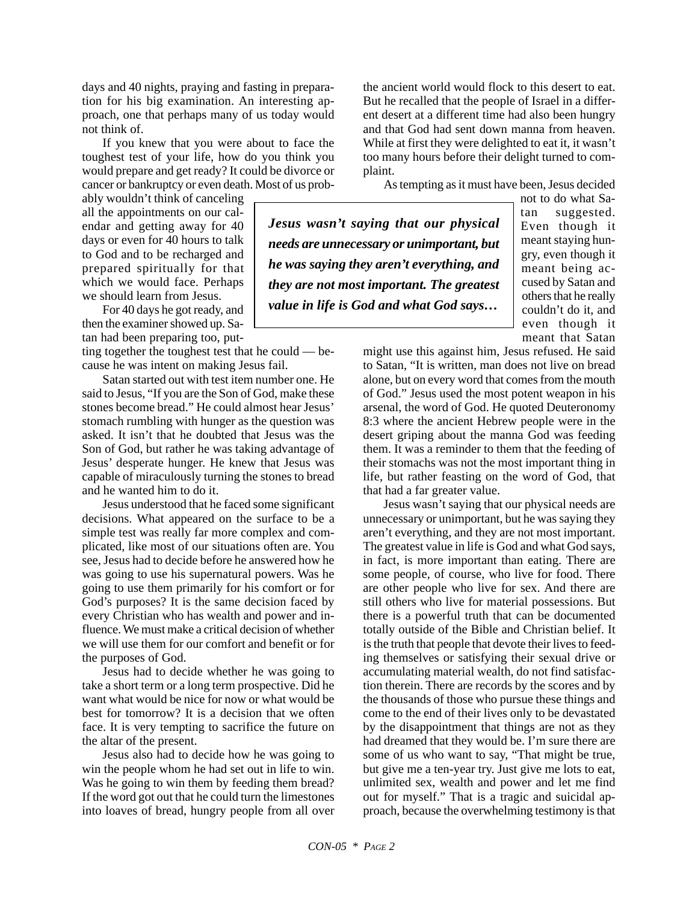days and 40 nights, praying and fasting in preparation for his big examination. An interesting approach, one that perhaps many of us today would not think of.

If you knew that you were about to face the toughest test of your life, how do you think you would prepare and get ready? It could be divorce or cancer or bankruptcy or even death. Most of us prob-

ably wouldn't think of canceling all the appointments on our calendar and getting away for 40 days or even for 40 hours to talk to God and to be recharged and prepared spiritually for that which we would face. Perhaps we should learn from Jesus.

For 40 days he got ready, and then the examiner showed up. Satan had been preparing too, put-

ting together the toughest test that he could — because he was intent on making Jesus fail.

Satan started out with test item number one. He said to Jesus, "If you are the Son of God, make these stones become bread." He could almost hear Jesus' stomach rumbling with hunger as the question was asked. It isn't that he doubted that Jesus was the Son of God, but rather he was taking advantage of Jesus' desperate hunger. He knew that Jesus was capable of miraculously turning the stones to bread and he wanted him to do it.

Jesus understood that he faced some significant decisions. What appeared on the surface to be a simple test was really far more complex and complicated, like most of our situations often are. You see, Jesus had to decide before he answered how he was going to use his supernatural powers. Was he going to use them primarily for his comfort or for God's purposes? It is the same decision faced by every Christian who has wealth and power and influence. We must make a critical decision of whether we will use them for our comfort and benefit or for the purposes of God.

Jesus had to decide whether he was going to take a short term or a long term prospective. Did he want what would be nice for now or what would be best for tomorrow? It is a decision that we often face. It is very tempting to sacrifice the future on the altar of the present.

Jesus also had to decide how he was going to win the people whom he had set out in life to win. Was he going to win them by feeding them bread? If the word got out that he could turn the limestones into loaves of bread, hungry people from all over the ancient world would flock to this desert to eat. But he recalled that the people of Israel in a different desert at a different time had also been hungry and that God had sent down manna from heaven. While at first they were delighted to eat it, it wasn't too many hours before their delight turned to complaint.

As tempting as it must have been, Jesus decided

*Jesus wasn't saying that our physical needs are unnecessary or unimportant, but he was saying they aren't everything, and they are not most important. The greatest value in life is God and what God says…*

not to do what Satan suggested. Even though it meant staying hungry, even though it meant being accused by Satan and others that he really couldn't do it, and even though it meant that Satan

might use this against him, Jesus refused. He said to Satan, "It is written, man does not live on bread alone, but on every word that comes from the mouth of God." Jesus used the most potent weapon in his arsenal, the word of God. He quoted Deuteronomy 8:3 where the ancient Hebrew people were in the desert griping about the manna God was feeding them. It was a reminder to them that the feeding of their stomachs was not the most important thing in life, but rather feasting on the word of God, that that had a far greater value.

Jesus wasn't saying that our physical needs are unnecessary or unimportant, but he was saying they aren't everything, and they are not most important. The greatest value in life is God and what God says, in fact, is more important than eating. There are some people, of course, who live for food. There are other people who live for sex. And there are still others who live for material possessions. But there is a powerful truth that can be documented totally outside of the Bible and Christian belief. It is the truth that people that devote their lives to feeding themselves or satisfying their sexual drive or accumulating material wealth, do not find satisfaction therein. There are records by the scores and by the thousands of those who pursue these things and come to the end of their lives only to be devastated by the disappointment that things are not as they had dreamed that they would be. I'm sure there are some of us who want to say, "That might be true, but give me a ten-year try. Just give me lots to eat, unlimited sex, wealth and power and let me find out for myself." That is a tragic and suicidal approach, because the overwhelming testimony is that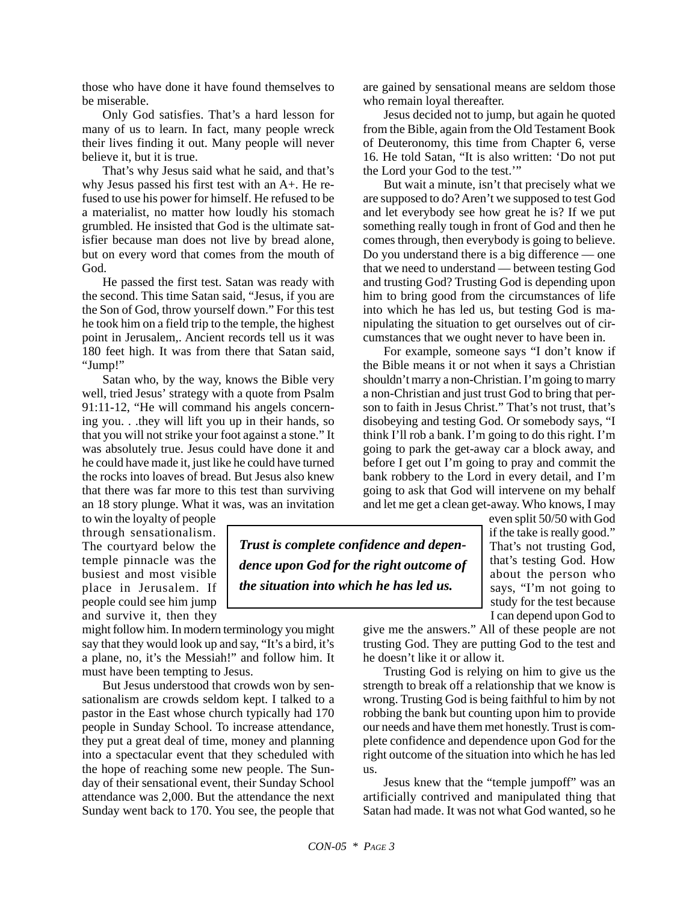those who have done it have found themselves to be miserable.

Only God satisfies. That's a hard lesson for many of us to learn. In fact, many people wreck their lives finding it out. Many people will never believe it, but it is true.

That's why Jesus said what he said, and that's why Jesus passed his first test with an A+. He refused to use his power for himself. He refused to be a materialist, no matter how loudly his stomach grumbled. He insisted that God is the ultimate satisfier because man does not live by bread alone, but on every word that comes from the mouth of God.

He passed the first test. Satan was ready with the second. This time Satan said, "Jesus, if you are the Son of God, throw yourself down." For this test he took him on a field trip to the temple, the highest point in Jerusalem,. Ancient records tell us it was 180 feet high. It was from there that Satan said, "Jump!"

Satan who, by the way, knows the Bible very well, tried Jesus' strategy with a quote from Psalm 91:11-12, "He will command his angels concerning you. . .they will lift you up in their hands, so that you will not strike your foot against a stone." It was absolutely true. Jesus could have done it and he could have made it, just like he could have turned the rocks into loaves of bread. But Jesus also knew that there was far more to this test than surviving an 18 story plunge. What it was, was an invitation

to win the loyalty of people through sensationalism. The courtyard below the temple pinnacle was the busiest and most visible place in Jerusalem. If people could see him jump and survive it, then they

might follow him. In modern terminology you might say that they would look up and say, "It's a bird, it's a plane, no, it's the Messiah!" and follow him. It must have been tempting to Jesus.

But Jesus understood that crowds won by sensationalism are crowds seldom kept. I talked to a pastor in the East whose church typically had 170 people in Sunday School. To increase attendance, they put a great deal of time, money and planning into a spectacular event that they scheduled with the hope of reaching some new people. The Sunday of their sensational event, their Sunday School attendance was 2,000. But the attendance the next Sunday went back to 170. You see, the people that are gained by sensational means are seldom those who remain loyal thereafter.

Jesus decided not to jump, but again he quoted from the Bible, again from the Old Testament Book of Deuteronomy, this time from Chapter 6, verse 16. He told Satan, "It is also written: 'Do not put the Lord your God to the test.'"

But wait a minute, isn't that precisely what we are supposed to do? Aren't we supposed to test God and let everybody see how great he is? If we put something really tough in front of God and then he comes through, then everybody is going to believe. Do you understand there is a big difference — one that we need to understand — between testing God and trusting God? Trusting God is depending upon him to bring good from the circumstances of life into which he has led us, but testing God is manipulating the situation to get ourselves out of circumstances that we ought never to have been in.

For example, someone says "I don't know if the Bible means it or not when it says a Christian shouldn't marry a non-Christian. I'm going to marry a non-Christian and just trust God to bring that person to faith in Jesus Christ." That's not trust, that's disobeying and testing God. Or somebody says, "I think I'll rob a bank. I'm going to do this right. I'm going to park the get-away car a block away, and before I get out I'm going to pray and commit the bank robbery to the Lord in every detail, and I'm going to ask that God will intervene on my behalf and let me get a clean get-away. Who knows, I may

*Trust is complete confidence and dependence upon God for the right outcome of the situation into which he has led us.*

even split 50/50 with God if the take is really good." That's not trusting God, that's testing God. How about the person who says, "I'm not going to study for the test because I can depend upon God to

give me the answers." All of these people are not trusting God. They are putting God to the test and he doesn't like it or allow it.

Trusting God is relying on him to give us the strength to break off a relationship that we know is wrong. Trusting God is being faithful to him by not robbing the bank but counting upon him to provide our needs and have them met honestly. Trust is complete confidence and dependence upon God for the right outcome of the situation into which he has led us.

Jesus knew that the "temple jumpoff" was an artificially contrived and manipulated thing that Satan had made. It was not what God wanted, so he